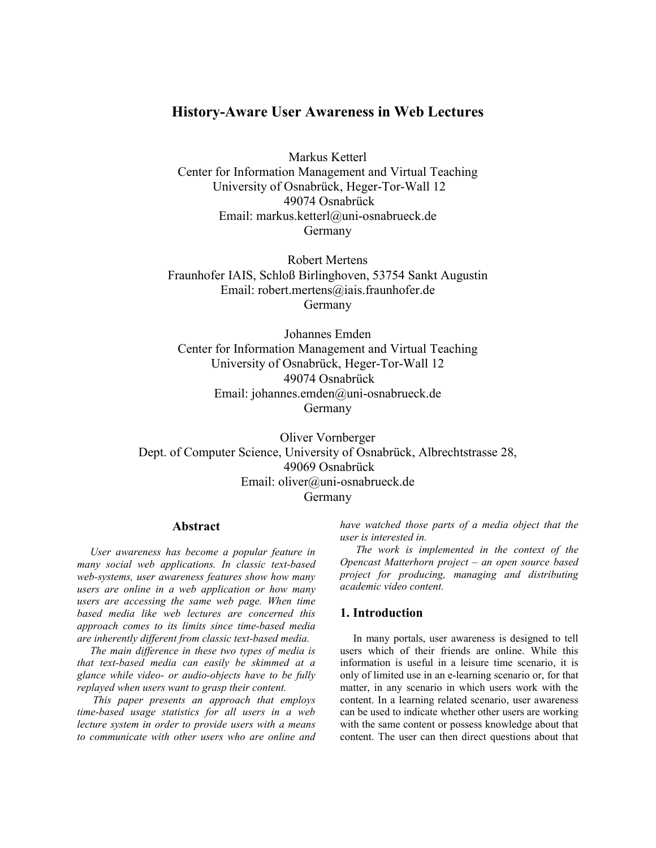# **History-Aware User Awareness in Web Lectures**

Markus Ketterl Center for Information Management and Virtual Teaching University of Osnabrück, Heger-Tor-Wall 12 49074 Osnabrück Email: markus.ketterl@uni-osnabrueck.de Germany

Robert Mertens Fraunhofer IAIS, Schloß Birlinghoven, 53754 Sankt Augustin Email: robert.mertens@iais.fraunhofer.de Germany

Johannes Emden Center for Information Management and Virtual Teaching University of Osnabrück, Heger-Tor-Wall 12 49074 Osnabrück Email: johannes.emden@uni-osnabrueck.de Germany

Oliver Vornberger Dept. of Computer Science, University of Osnabrück, Albrechtstrasse 28, 49069 Osnabrück Email: oliver@uni-osnabrueck.de Germany

#### **Abstract**

*User awareness has become a popular feature in many social web applications. In classic text-based web-systems, user awareness features show how many users are online in a web application or how many users are accessing the same web page. When time based media like web lectures are concerned this approach comes to its limits since time-based media are inherently different from classic text-based media.* 

*The main difference in these two types of media is that text-based media can easily be skimmed at a glance while video- or audio-objects have to be fully replayed when users want to grasp their content.* 

 *This paper presents an approach that employs time-based usage statistics for all users in a web lecture system in order to provide users with a means to communicate with other users who are online and*  *have watched those parts of a media object that the user is interested in.* 

 *The work is implemented in the context of the Opencast Matterhorn project – an open source based project for producing, managing and distributing academic video content.* 

#### **1. Introduction**

In many portals, user awareness is designed to tell users which of their friends are online. While this information is useful in a leisure time scenario, it is only of limited use in an e-learning scenario or, for that matter, in any scenario in which users work with the content. In a learning related scenario, user awareness can be used to indicate whether other users are working with the same content or possess knowledge about that content. The user can then direct questions about that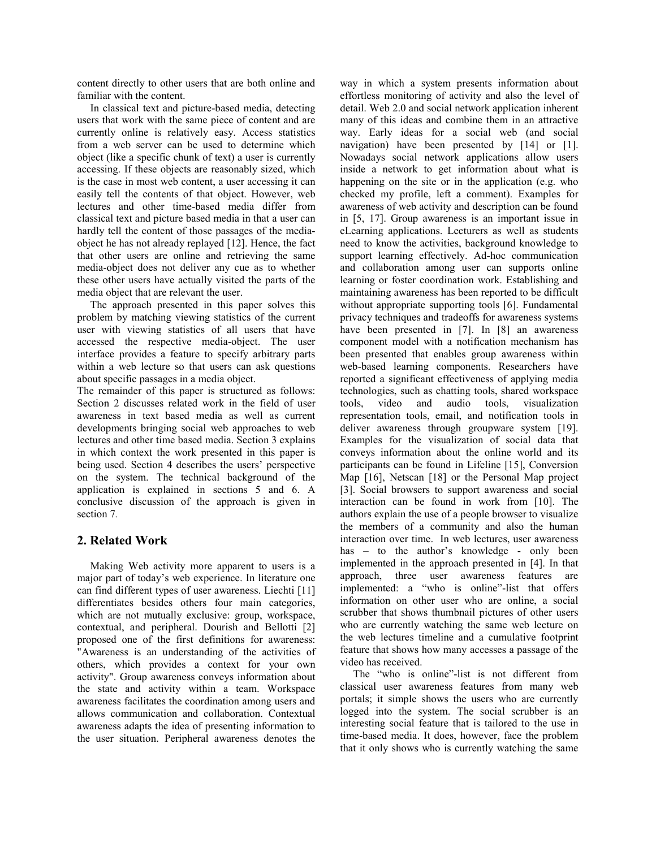content directly to other users that are both online and familiar with the content.

In classical text and picture-based media, detecting users that work with the same piece of content and are currently online is relatively easy. Access statistics from a web server can be used to determine which object (like a specific chunk of text) a user is currently accessing. If these objects are reasonably sized, which is the case in most web content, a user accessing it can easily tell the contents of that object. However, web lectures and other time-based media differ from classical text and picture based media in that a user can hardly tell the content of those passages of the mediaobject he has not already replayed [12]. Hence, the fact that other users are online and retrieving the same media-object does not deliver any cue as to whether these other users have actually visited the parts of the media object that are relevant the user.

The approach presented in this paper solves this problem by matching viewing statistics of the current user with viewing statistics of all users that have accessed the respective media-object. The user interface provides a feature to specify arbitrary parts within a web lecture so that users can ask questions about specific passages in a media object.

The remainder of this paper is structured as follows: Section 2 discusses related work in the field of user awareness in text based media as well as current developments bringing social web approaches to web lectures and other time based media. Section 3 explains in which context the work presented in this paper is being used. Section 4 describes the users' perspective on the system. The technical background of the application is explained in sections 5 and 6. A conclusive discussion of the approach is given in section 7*.* 

### **2. Related Work**

Making Web activity more apparent to users is a major part of today's web experience. In literature one can find different types of user awareness. Liechti [11] differentiates besides others four main categories, which are not mutually exclusive: group, workspace, contextual, and peripheral. Dourish and Bellotti [2] proposed one of the first definitions for awareness: "Awareness is an understanding of the activities of others, which provides a context for your own activity". Group awareness conveys information about the state and activity within a team. Workspace awareness facilitates the coordination among users and allows communication and collaboration. Contextual awareness adapts the idea of presenting information to the user situation. Peripheral awareness denotes the

way in which a system presents information about effortless monitoring of activity and also the level of detail. Web 2.0 and social network application inherent many of this ideas and combine them in an attractive way. Early ideas for a social web (and social navigation) have been presented by [14] or [1]. Nowadays social network applications allow users inside a network to get information about what is happening on the site or in the application (e.g. who checked my profile, left a comment). Examples for awareness of web activity and description can be found in [5, 17]. Group awareness is an important issue in eLearning applications. Lecturers as well as students need to know the activities, background knowledge to support learning effectively. Ad-hoc communication and collaboration among user can supports online learning or foster coordination work. Establishing and maintaining awareness has been reported to be difficult without appropriate supporting tools [6]. Fundamental privacy techniques and tradeoffs for awareness systems have been presented in [7]. In [8] an awareness component model with a notification mechanism has been presented that enables group awareness within web-based learning components. Researchers have reported a significant effectiveness of applying media technologies, such as chatting tools, shared workspace tools, video and audio tools, visualization representation tools, email, and notification tools in deliver awareness through groupware system [19]. Examples for the visualization of social data that conveys information about the online world and its participants can be found in Lifeline [15], Conversion Map [16], Netscan [18] or the Personal Map project [3]. Social browsers to support awareness and social interaction can be found in work from [10]. The authors explain the use of a people browser to visualize the members of a community and also the human interaction over time. In web lectures, user awareness has – to the author's knowledge - only been implemented in the approach presented in [4]. In that approach, three user awareness features are implemented: a "who is online"-list that offers information on other user who are online, a social scrubber that shows thumbnail pictures of other users who are currently watching the same web lecture on the web lectures timeline and a cumulative footprint feature that shows how many accesses a passage of the video has received.

The "who is online"-list is not different from classical user awareness features from many web portals; it simple shows the users who are currently logged into the system. The social scrubber is an interesting social feature that is tailored to the use in time-based media. It does, however, face the problem that it only shows who is currently watching the same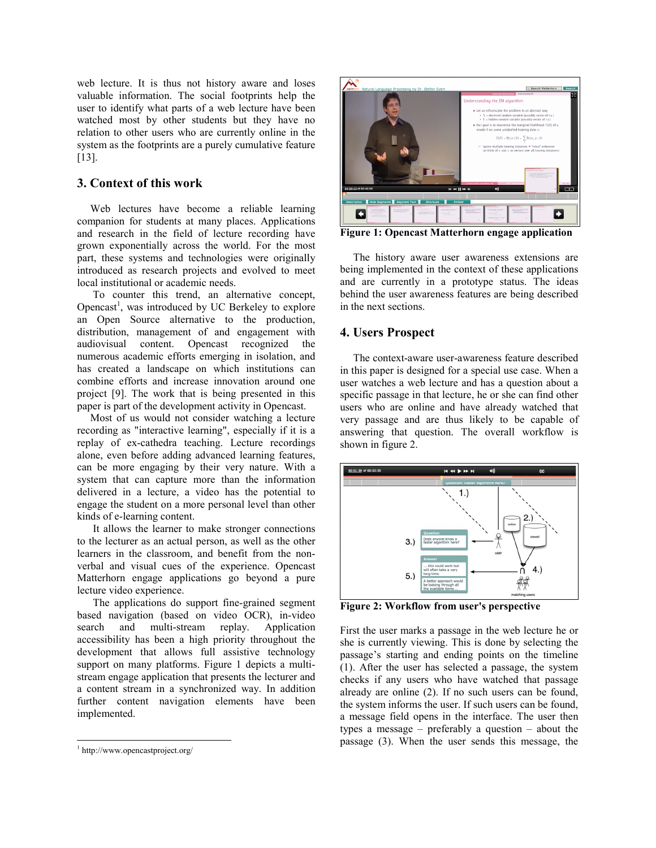web lecture. It is thus not history aware and loses valuable information. The social footprints help the user to identify what parts of a web lecture have been watched most by other students but they have no relation to other users who are currently online in the system as the footprints are a purely cumulative feature [13].

## **3. Context of this work**

Web lectures have become a reliable learning companion for students at many places. Applications and research in the field of lecture recording have grown exponentially across the world. For the most part, these systems and technologies were originally introduced as research projects and evolved to meet local institutional or academic needs.

 To counter this trend, an alternative concept, Opencast<sup>1</sup>, was introduced by UC Berkeley to explore an Open Source alternative to the production, distribution, management of and engagement with audiovisual content. Opencast recognized the numerous academic efforts emerging in isolation, and has created a landscape on which institutions can combine efforts and increase innovation around one project [9]. The work that is being presented in this paper is part of the development activity in Opencast.

Most of us would not consider watching a lecture recording as "interactive learning", especially if it is a replay of ex-cathedra teaching. Lecture recordings alone, even before adding advanced learning features, can be more engaging by their very nature. With a system that can capture more than the information delivered in a lecture, a video has the potential to engage the student on a more personal level than other kinds of e-learning content.

 It allows the learner to make stronger connections to the lecturer as an actual person, as well as the other learners in the classroom, and benefit from the nonverbal and visual cues of the experience. Opencast Matterhorn engage applications go beyond a pure lecture video experience.

 The applications do support fine-grained segment based navigation (based on video OCR), in-video search and multi-stream replay. Application accessibility has been a high priority throughout the development that allows full assistive technology support on many platforms. Figure 1 depicts a multistream engage application that presents the lecturer and a content stream in a synchronized way. In addition further content navigation elements have been implemented.



**Figure 1: Opencast Matterhorn engage application** 

The history aware user awareness extensions are being implemented in the context of these applications and are currently in a prototype status. The ideas behind the user awareness features are being described in the next sections.

### **4. Users Prospect**

The context-aware user-awareness feature described in this paper is designed for a special use case. When a user watches a web lecture and has a question about a specific passage in that lecture, he or she can find other users who are online and have already watched that very passage and are thus likely to be capable of answering that question. The overall workflow is shown in figure 2.



**Figure 2: Workflow from user's perspective** 

First the user marks a passage in the web lecture he or she is currently viewing. This is done by selecting the passage's starting and ending points on the timeline (1). After the user has selected a passage, the system checks if any users who have watched that passage already are online (2). If no such users can be found, the system informs the user. If such users can be found, a message field opens in the interface. The user then types a message – preferably a question – about the passage (3). When the user sends this message, the

 1 http://www.opencastproject.org/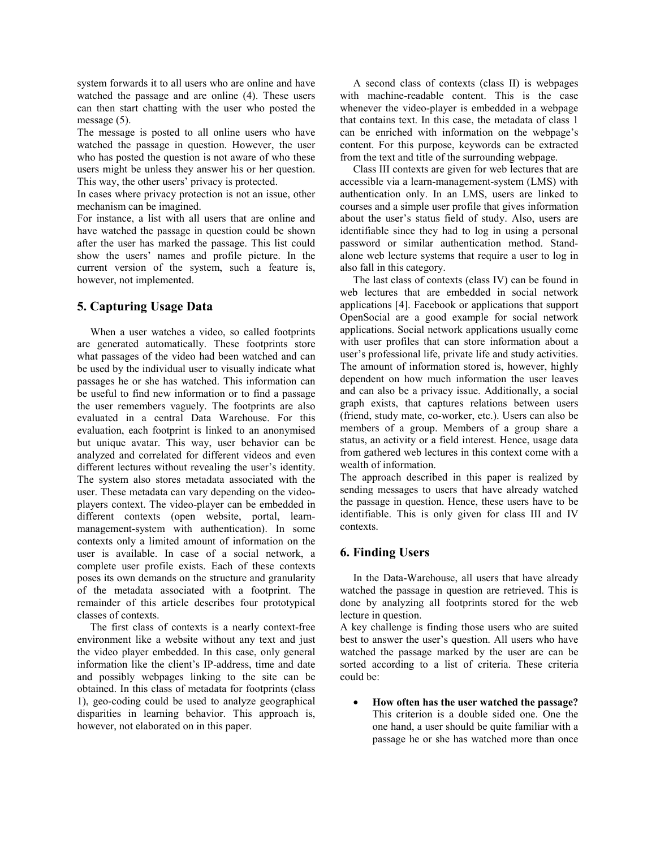system forwards it to all users who are online and have watched the passage and are online (4). These users can then start chatting with the user who posted the message  $(5)$ .

The message is posted to all online users who have watched the passage in question. However, the user who has posted the question is not aware of who these users might be unless they answer his or her question. This way, the other users' privacy is protected.

In cases where privacy protection is not an issue, other mechanism can be imagined.

For instance, a list with all users that are online and have watched the passage in question could be shown after the user has marked the passage. This list could show the users' names and profile picture. In the current version of the system, such a feature is, however, not implemented.

# **5. Capturing Usage Data**

When a user watches a video, so called footprints are generated automatically. These footprints store what passages of the video had been watched and can be used by the individual user to visually indicate what passages he or she has watched. This information can be useful to find new information or to find a passage the user remembers vaguely. The footprints are also evaluated in a central Data Warehouse. For this evaluation, each footprint is linked to an anonymised but unique avatar. This way, user behavior can be analyzed and correlated for different videos and even different lectures without revealing the user's identity. The system also stores metadata associated with the user. These metadata can vary depending on the videoplayers context. The video-player can be embedded in different contexts (open website, portal, learnmanagement-system with authentication). In some contexts only a limited amount of information on the user is available. In case of a social network, a complete user profile exists. Each of these contexts poses its own demands on the structure and granularity of the metadata associated with a footprint. The remainder of this article describes four prototypical classes of contexts.

The first class of contexts is a nearly context-free environment like a website without any text and just the video player embedded. In this case, only general information like the client's IP-address, time and date and possibly webpages linking to the site can be obtained. In this class of metadata for footprints (class 1), geo-coding could be used to analyze geographical disparities in learning behavior. This approach is, however, not elaborated on in this paper.

A second class of contexts (class II) is webpages with machine-readable content. This is the case whenever the video-player is embedded in a webpage that contains text. In this case, the metadata of class 1 can be enriched with information on the webpage's content. For this purpose, keywords can be extracted from the text and title of the surrounding webpage.

Class III contexts are given for web lectures that are accessible via a learn-management-system (LMS) with authentication only. In an LMS, users are linked to courses and a simple user profile that gives information about the user's status field of study. Also, users are identifiable since they had to log in using a personal password or similar authentication method. Standalone web lecture systems that require a user to log in also fall in this category.

The last class of contexts (class IV) can be found in web lectures that are embedded in social network applications [4]. Facebook or applications that support OpenSocial are a good example for social network applications. Social network applications usually come with user profiles that can store information about a user's professional life, private life and study activities. The amount of information stored is, however, highly dependent on how much information the user leaves and can also be a privacy issue. Additionally, a social graph exists, that captures relations between users (friend, study mate, co-worker, etc.). Users can also be members of a group. Members of a group share a status, an activity or a field interest. Hence, usage data from gathered web lectures in this context come with a wealth of information.

The approach described in this paper is realized by sending messages to users that have already watched the passage in question. Hence, these users have to be identifiable. This is only given for class III and IV contexts.

#### **6. Finding Users**

In the Data-Warehouse, all users that have already watched the passage in question are retrieved. This is done by analyzing all footprints stored for the web lecture in question.

A key challenge is finding those users who are suited best to answer the user's question. All users who have watched the passage marked by the user are can be sorted according to a list of criteria. These criteria could be:

• **How often has the user watched the passage?** This criterion is a double sided one. One the one hand, a user should be quite familiar with a passage he or she has watched more than once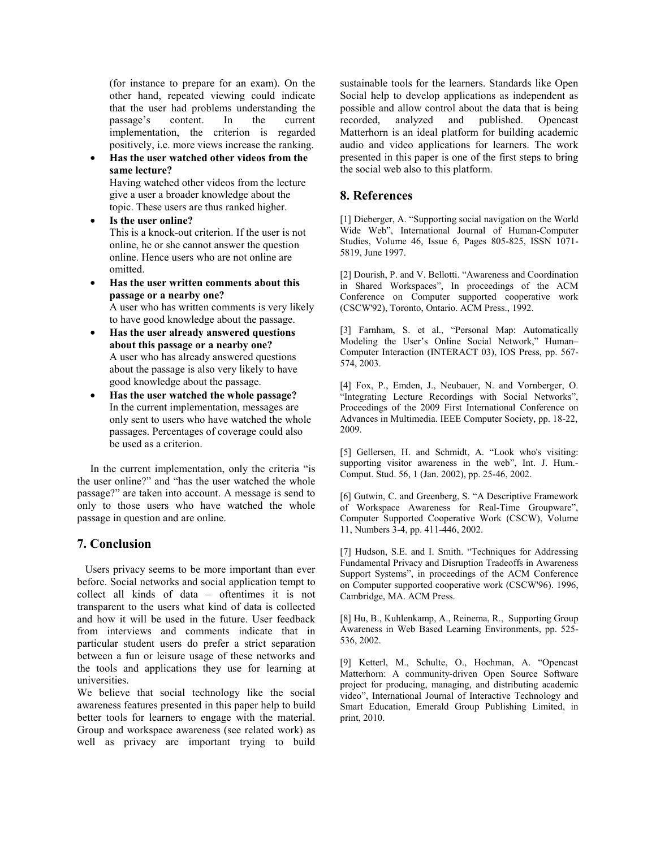(for instance to prepare for an exam). On the other hand, repeated viewing could indicate that the user had problems understanding the passage's content. In the current implementation, the criterion is regarded positively, i.e. more views increase the ranking.

• **Has the user watched other videos from the same lecture?**

Having watched other videos from the lecture give a user a broader knowledge about the topic. These users are thus ranked higher.

• **Is the user online?**

This is a knock-out criterion. If the user is not online, he or she cannot answer the question online. Hence users who are not online are omitted.

- **Has the user written comments about this passage or a nearby one?** A user who has written comments is very likely to have good knowledge about the passage.
- **Has the user already answered questions about this passage or a nearby one?** A user who has already answered questions about the passage is also very likely to have good knowledge about the passage.
- **Has the user watched the whole passage?**  In the current implementation, messages are only sent to users who have watched the whole passages. Percentages of coverage could also be used as a criterion.

In the current implementation, only the criteria "is the user online?" and "has the user watched the whole passage?" are taken into account. A message is send to only to those users who have watched the whole passage in question and are online.

### **7. Conclusion**

 Users privacy seems to be more important than ever before. Social networks and social application tempt to collect all kinds of data – oftentimes it is not transparent to the users what kind of data is collected and how it will be used in the future. User feedback from interviews and comments indicate that in particular student users do prefer a strict separation between a fun or leisure usage of these networks and the tools and applications they use for learning at universities.

We believe that social technology like the social awareness features presented in this paper help to build better tools for learners to engage with the material. Group and workspace awareness (see related work) as well as privacy are important trying to build sustainable tools for the learners. Standards like Open Social help to develop applications as independent as possible and allow control about the data that is being recorded, analyzed and published. Opencast Matterhorn is an ideal platform for building academic audio and video applications for learners. The work presented in this paper is one of the first steps to bring the social web also to this platform.

### **8. References**

[1] Dieberger, A. "Supporting social navigation on the World Wide Web", International Journal of Human-Computer Studies, Volume 46, Issue 6, Pages 805-825, ISSN 1071- 5819, June 1997.

[2] Dourish, P. and V. Bellotti. "Awareness and Coordination in Shared Workspaces", In proceedings of the ACM Conference on Computer supported cooperative work (CSCW'92), Toronto, Ontario. ACM Press., 1992.

[3] Farnham, S. et al., "Personal Map: Automatically Modeling the User's Online Social Network," Human– Computer Interaction (INTERACT 03), IOS Press, pp. 567- 574, 2003.

[4] Fox, P., Emden, J., Neubauer, N. and Vornberger, O. "Integrating Lecture Recordings with Social Networks", Proceedings of the 2009 First International Conference on Advances in Multimedia. IEEE Computer Society, pp. 18-22, 2009.

[5] Gellersen, H. and Schmidt, A. "Look who's visiting: supporting visitor awareness in the web", Int. J. Hum.-Comput. Stud. 56, 1 (Jan. 2002), pp. 25-46, 2002.

[6] Gutwin, C. and Greenberg, S. "A Descriptive Framework of Workspace Awareness for Real-Time Groupware", Computer Supported Cooperative Work (CSCW), Volume 11, Numbers 3-4, pp. 411-446, 2002.

[7] Hudson, S.E. and I. Smith. "Techniques for Addressing Fundamental Privacy and Disruption Tradeoffs in Awareness Support Systems", in proceedings of the ACM Conference on Computer supported cooperative work (CSCW'96). 1996, Cambridge, MA. ACM Press.

[8] Hu, B., Kuhlenkamp, A., Reinema, R., Supporting Group Awareness in Web Based Learning Environments, pp. 525- 536, 2002.

[9] Ketterl, M., Schulte, O., Hochman, A. "Opencast Matterhorn: A community-driven Open Source Software project for producing, managing, and distributing academic video", International Journal of Interactive Technology and Smart Education, Emerald Group Publishing Limited, in print, 2010.